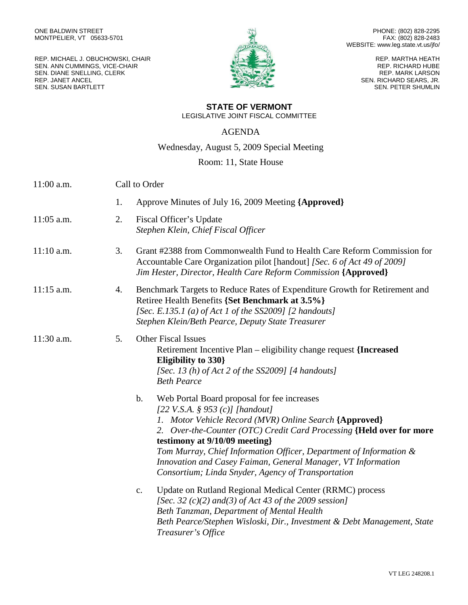REP. MICHAEL J. OBUCHOWSKI, CHAIR SEN. ANN CUMMINGS, VICE-CHAIR SEN. DIANE SNELLING, CLERK REP. JANET ANCEL SEN. SUSAN BARTLETT



PHONE: (802) 828-2295 FAX: (802) 828-2483 WEBSITE: www.leg.state.vt.us/jfo/

> REP. MARTHA HEATH REP. RICHARD HUBE REP. MARK LARSON SEN. RICHARD SEARS, JR. SEN. PETER SHUMLIN

## **STATE OF VERMONT**

LEGISLATIVE JOINT FISCAL COMMITTEE

## AGENDA

Wednesday, August 5, 2009 Special Meeting

## Room: 11, State House

| 11:00 a.m.   | Call to Order |                                                                                                                                                                                                                                                                                                                                                                                                                                                                |  |
|--------------|---------------|----------------------------------------------------------------------------------------------------------------------------------------------------------------------------------------------------------------------------------------------------------------------------------------------------------------------------------------------------------------------------------------------------------------------------------------------------------------|--|
|              | 1.            | Approve Minutes of July 16, 2009 Meeting {Approved}                                                                                                                                                                                                                                                                                                                                                                                                            |  |
| 11:05 a.m.   | 2.            | Fiscal Officer's Update<br>Stephen Klein, Chief Fiscal Officer                                                                                                                                                                                                                                                                                                                                                                                                 |  |
| $11:10$ a.m. | 3.            | Grant #2388 from Commonwealth Fund to Health Care Reform Commission for<br>Accountable Care Organization pilot [handout] [Sec. 6 of Act 49 of 2009]<br>Jim Hester, Director, Health Care Reform Commission {Approved}                                                                                                                                                                                                                                          |  |
| $11:15$ a.m. | 4.            | Benchmark Targets to Reduce Rates of Expenditure Growth for Retirement and<br>Retiree Health Benefits {Set Benchmark at 3.5%}<br>[Sec. E.135.1 (a) of Act 1 of the SS2009] $[2$ handouts]<br>Stephen Klein/Beth Pearce, Deputy State Treasurer                                                                                                                                                                                                                 |  |
| $11:30$ a.m. | 5.            | <b>Other Fiscal Issues</b><br>Retirement Incentive Plan – eligibility change request {Increased<br>Eligibility to 330}<br>[Sec. 13 (h) of $Act$ 2 of the SS2009] [4 handouts]<br><b>Beth Pearce</b>                                                                                                                                                                                                                                                            |  |
|              |               | $\mathbf b$ .<br>Web Portal Board proposal for fee increases<br>[22 V.S.A. § 953 (c)] [handout]<br>1. Motor Vehicle Record (MVR) Online Search {Approved}<br>2. Over-the-Counter (OTC) Credit Card Processing {Held over for more<br>testimony at 9/10/09 meeting}<br>Tom Murray, Chief Information Officer, Department of Information &<br>Innovation and Casey Faiman, General Manager, VT Information<br>Consortium; Linda Snyder, Agency of Transportation |  |
|              |               | Update on Rutland Regional Medical Center (RRMC) process<br>$\mathbf{c}$ .<br>[Sec. 32 $(c)(2)$ and(3) of Act 43 of the 2009 session]<br>Beth Tanzman, Department of Mental Health<br>Beth Pearce/Stephen Wisloski, Dir., Investment & Debt Management, State<br>Treasurer's Office                                                                                                                                                                            |  |